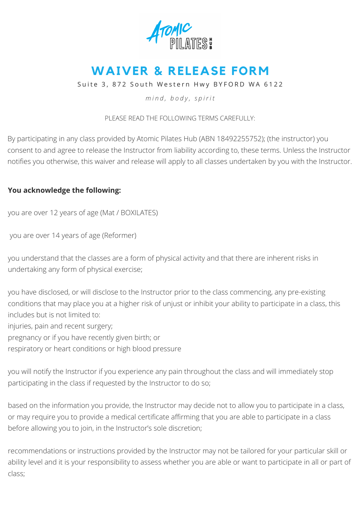

## **WAIVER & RELEASE FORM**

Suite 3, 872 South Western Hwy BYFORD WA 6122

*m i n d , b o d y , s p i r i t*

PLEASE READ THE FOLLOWING TERMS CAREFULLY:

By participating in any class provided by Atomic Pilates Hub (ABN 18492255752); (the instructor) you consent to and agree to release the Instructor from liability according to, these terms. Unless the Instructor notifies you otherwise, this waiver and release will apply to all classes undertaken by you with the Instructor.

## **You acknowledge the following:**

you are over 12 years of age (Mat / BOXILATES)

you are over 14 years of age (Reformer)

you understand that the classes are a form of physical activity and that there are inherent risks in undertaking any form of physical exercise;

you have disclosed, or will disclose to the Instructor prior to the class commencing, any pre-existing conditions that may place you at a higher risk of unjust or inhibit your ability to participate in a class, this includes but is not limited to:

injuries, pain and recent surgery;

pregnancy or if you have recently given birth; or

respiratory or heart conditions or high blood pressure

you will notify the Instructor if you experience any pain throughout the class and will immediately stop participating in the class if requested by the Instructor to do so;

based on the information you provide, the Instructor may decide not to allow you to participate in a class, or may require you to provide a medical certificate affirming that you are able to participate in a class before allowing you to join, in the Instructor's sole discretion;

recommendations or instructions provided by the Instructor may not be tailored for your particular skill or ability level and it is your responsibility to assess whether you are able or want to participate in all or part of class;